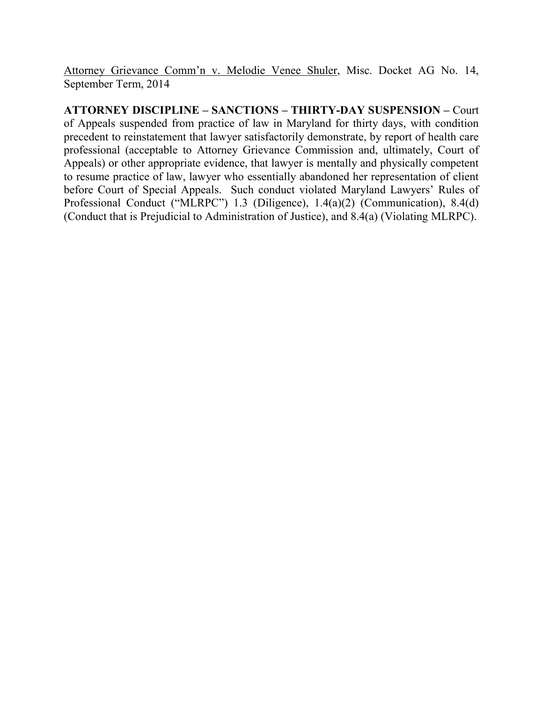Attorney Grievance Comm'n v. Melodie Venee Shuler, Misc. Docket AG No. 14, September Term, 2014

**ATTORNEY DISCIPLINE – SANCTIONS – THIRTY-DAY SUSPENSION –** Court of Appeals suspended from practice of law in Maryland for thirty days, with condition precedent to reinstatement that lawyer satisfactorily demonstrate, by report of health care professional (acceptable to Attorney Grievance Commission and, ultimately, Court of Appeals) or other appropriate evidence, that lawyer is mentally and physically competent to resume practice of law, lawyer who essentially abandoned her representation of client before Court of Special Appeals. Such conduct violated Maryland Lawyers' Rules of Professional Conduct ("MLRPC") 1.3 (Diligence), 1.4(a)(2) (Communication), 8.4(d) (Conduct that is Prejudicial to Administration of Justice), and 8.4(a) (Violating MLRPC).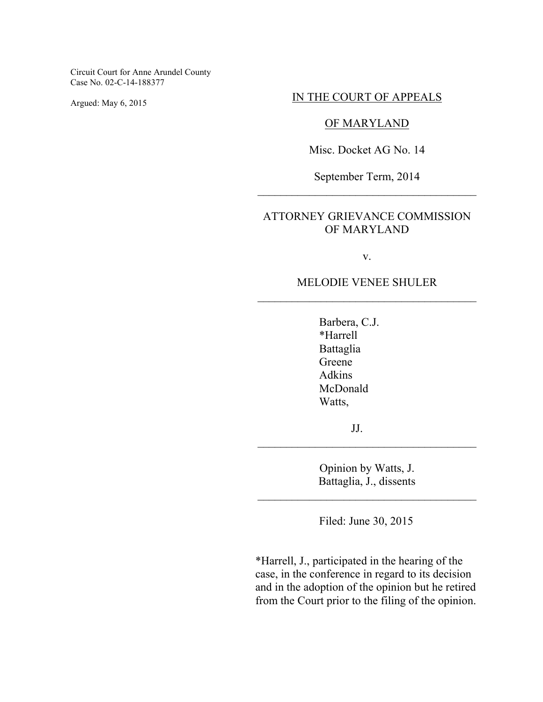Circuit Court for Anne Arundel County Case No. 02-C-14-188377

Argued: May 6, 2015

#### IN THE COURT OF APPEALS

### OF MARYLAND

Misc. Docket AG No. 14

September Term, 2014 \_\_\_\_\_\_\_\_\_\_\_\_\_\_\_\_\_\_\_\_\_\_\_\_\_\_\_\_\_\_\_\_\_\_\_\_\_\_

# ATTORNEY GRIEVANCE COMMISSION OF MARYLAND

v.

# MELODIE VENEE SHULER \_\_\_\_\_\_\_\_\_\_\_\_\_\_\_\_\_\_\_\_\_\_\_\_\_\_\_\_\_\_\_\_\_\_\_\_\_\_

Barbera, C.J. \*Harrell Battaglia Greene Adkins McDonald Watts,

JJ.

Opinion by Watts, J. Battaglia, J., dissents

\_\_\_\_\_\_\_\_\_\_\_\_\_\_\_\_\_\_\_\_\_\_\_\_\_\_\_\_\_\_\_\_\_\_\_\_\_\_

\_\_\_\_\_\_\_\_\_\_\_\_\_\_\_\_\_\_\_\_\_\_\_\_\_\_\_\_\_\_\_\_\_\_\_\_\_\_

Filed: June 30, 2015

\*Harrell, J., participated in the hearing of the case, in the conference in regard to its decision and in the adoption of the opinion but he retired from the Court prior to the filing of the opinion.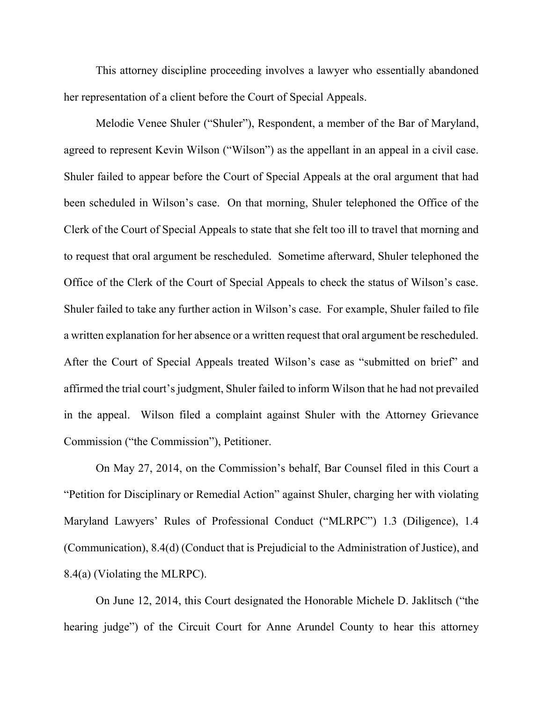This attorney discipline proceeding involves a lawyer who essentially abandoned her representation of a client before the Court of Special Appeals.

Melodie Venee Shuler ("Shuler"), Respondent, a member of the Bar of Maryland, agreed to represent Kevin Wilson ("Wilson") as the appellant in an appeal in a civil case. Shuler failed to appear before the Court of Special Appeals at the oral argument that had been scheduled in Wilson's case. On that morning, Shuler telephoned the Office of the Clerk of the Court of Special Appeals to state that she felt too ill to travel that morning and to request that oral argument be rescheduled. Sometime afterward, Shuler telephoned the Office of the Clerk of the Court of Special Appeals to check the status of Wilson's case. Shuler failed to take any further action in Wilson's case. For example, Shuler failed to file a written explanation for her absence or a written request that oral argument be rescheduled. After the Court of Special Appeals treated Wilson's case as "submitted on brief" and affirmed the trial court's judgment, Shuler failed to inform Wilson that he had not prevailed in the appeal. Wilson filed a complaint against Shuler with the Attorney Grievance Commission ("the Commission"), Petitioner.

On May 27, 2014, on the Commission's behalf, Bar Counsel filed in this Court a "Petition for Disciplinary or Remedial Action" against Shuler, charging her with violating Maryland Lawyers' Rules of Professional Conduct ("MLRPC") 1.3 (Diligence), 1.4 (Communication), 8.4(d) (Conduct that is Prejudicial to the Administration of Justice), and 8.4(a) (Violating the MLRPC).

On June 12, 2014, this Court designated the Honorable Michele D. Jaklitsch ("the hearing judge") of the Circuit Court for Anne Arundel County to hear this attorney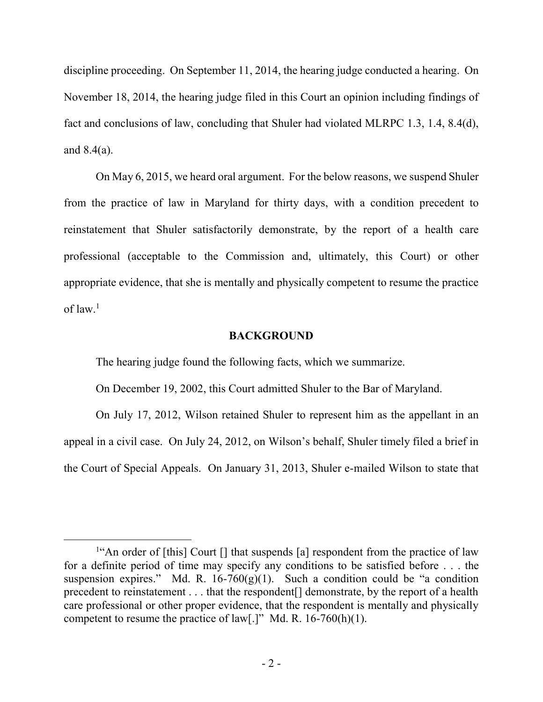discipline proceeding. On September 11, 2014, the hearing judge conducted a hearing. On November 18, 2014, the hearing judge filed in this Court an opinion including findings of fact and conclusions of law, concluding that Shuler had violated MLRPC 1.3, 1.4, 8.4(d), and 8.4(a).

On May 6, 2015, we heard oral argument. For the below reasons, we suspend Shuler from the practice of law in Maryland for thirty days, with a condition precedent to reinstatement that Shuler satisfactorily demonstrate, by the report of a health care professional (acceptable to the Commission and, ultimately, this Court) or other appropriate evidence, that she is mentally and physically competent to resume the practice of law $1$ 

### **BACKGROUND**

The hearing judge found the following facts, which we summarize.

On December 19, 2002, this Court admitted Shuler to the Bar of Maryland.

 On July 17, 2012, Wilson retained Shuler to represent him as the appellant in an appeal in a civil case. On July 24, 2012, on Wilson's behalf, Shuler timely filed a brief in the Court of Special Appeals. On January 31, 2013, Shuler e-mailed Wilson to state that

<sup>&</sup>lt;sup>1"</sup>An order of [this] Court [] that suspends [a] respondent from the practice of law for a definite period of time may specify any conditions to be satisfied before . . . the suspension expires." Md. R.  $16-760(g)(1)$ . Such a condition could be "a condition" precedent to reinstatement . . . that the respondent[] demonstrate, by the report of a health care professional or other proper evidence, that the respondent is mentally and physically competent to resume the practice of law[.]" Md. R. 16-760(h)(1).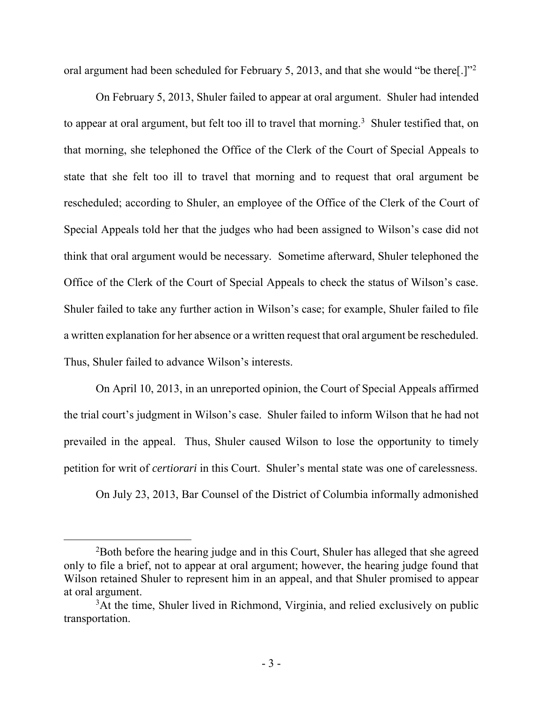oral argument had been scheduled for February 5, 2013, and that she would "be there[.]"<sup>2</sup>

 On February 5, 2013, Shuler failed to appear at oral argument. Shuler had intended to appear at oral argument, but felt too ill to travel that morning.<sup>3</sup> Shuler testified that, on that morning, she telephoned the Office of the Clerk of the Court of Special Appeals to state that she felt too ill to travel that morning and to request that oral argument be rescheduled; according to Shuler, an employee of the Office of the Clerk of the Court of Special Appeals told her that the judges who had been assigned to Wilson's case did not think that oral argument would be necessary. Sometime afterward, Shuler telephoned the Office of the Clerk of the Court of Special Appeals to check the status of Wilson's case. Shuler failed to take any further action in Wilson's case; for example, Shuler failed to file a written explanation for her absence or a written request that oral argument be rescheduled. Thus, Shuler failed to advance Wilson's interests.

 On April 10, 2013, in an unreported opinion, the Court of Special Appeals affirmed the trial court's judgment in Wilson's case. Shuler failed to inform Wilson that he had not prevailed in the appeal. Thus, Shuler caused Wilson to lose the opportunity to timely petition for writ of *certiorari* in this Court. Shuler's mental state was one of carelessness.

On July 23, 2013, Bar Counsel of the District of Columbia informally admonished

<sup>&</sup>lt;sup>2</sup>Both before the hearing judge and in this Court, Shuler has alleged that she agreed only to file a brief, not to appear at oral argument; however, the hearing judge found that Wilson retained Shuler to represent him in an appeal, and that Shuler promised to appear at oral argument.

<sup>&</sup>lt;sup>3</sup>At the time, Shuler lived in Richmond, Virginia, and relied exclusively on public transportation.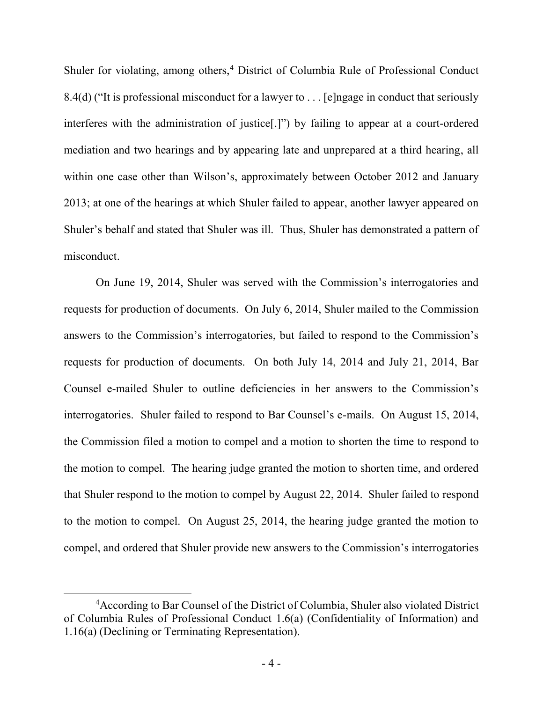Shuler for violating, among others,<sup>4</sup> District of Columbia Rule of Professional Conduct 8.4(d) ("It is professional misconduct for a lawyer to . . . [e]ngage in conduct that seriously interferes with the administration of justice[.]") by failing to appear at a court-ordered mediation and two hearings and by appearing late and unprepared at a third hearing, all within one case other than Wilson's, approximately between October 2012 and January 2013; at one of the hearings at which Shuler failed to appear, another lawyer appeared on Shuler's behalf and stated that Shuler was ill. Thus, Shuler has demonstrated a pattern of misconduct.

On June 19, 2014, Shuler was served with the Commission's interrogatories and requests for production of documents. On July 6, 2014, Shuler mailed to the Commission answers to the Commission's interrogatories, but failed to respond to the Commission's requests for production of documents. On both July 14, 2014 and July 21, 2014, Bar Counsel e-mailed Shuler to outline deficiencies in her answers to the Commission's interrogatories. Shuler failed to respond to Bar Counsel's e-mails. On August 15, 2014, the Commission filed a motion to compel and a motion to shorten the time to respond to the motion to compel. The hearing judge granted the motion to shorten time, and ordered that Shuler respond to the motion to compel by August 22, 2014. Shuler failed to respond to the motion to compel. On August 25, 2014, the hearing judge granted the motion to compel, and ordered that Shuler provide new answers to the Commission's interrogatories

<sup>4</sup>According to Bar Counsel of the District of Columbia, Shuler also violated District of Columbia Rules of Professional Conduct 1.6(a) (Confidentiality of Information) and 1.16(a) (Declining or Terminating Representation).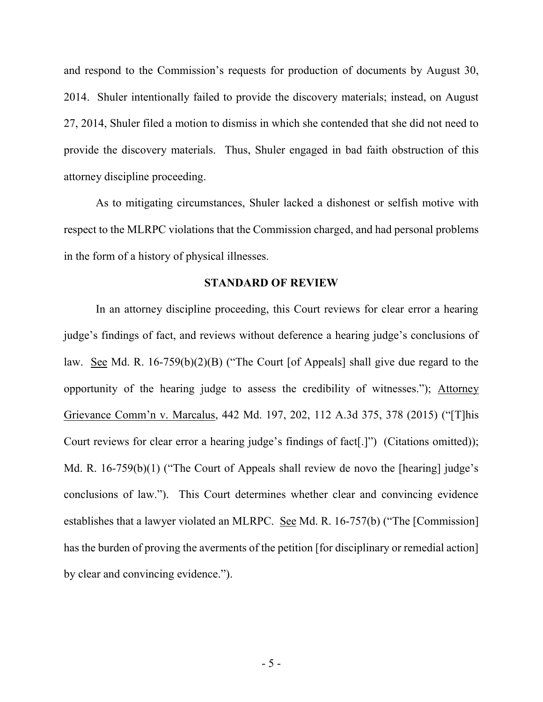and respond to the Commission's requests for production of documents by August 30, 2014. Shuler intentionally failed to provide the discovery materials; instead, on August 27, 2014, Shuler filed a motion to dismiss in which she contended that she did not need to provide the discovery materials. Thus, Shuler engaged in bad faith obstruction of this attorney discipline proceeding.

 As to mitigating circumstances, Shuler lacked a dishonest or selfish motive with respect to the MLRPC violations that the Commission charged, and had personal problems in the form of a history of physical illnesses.

#### **STANDARD OF REVIEW**

 In an attorney discipline proceeding, this Court reviews for clear error a hearing judge's findings of fact, and reviews without deference a hearing judge's conclusions of law. See Md. R. 16-759(b)(2)(B) ("The Court [of Appeals] shall give due regard to the opportunity of the hearing judge to assess the credibility of witnesses."); Attorney Grievance Comm'n v. Marcalus, 442 Md. 197, 202, 112 A.3d 375, 378 (2015) ("[T]his Court reviews for clear error a hearing judge's findings of fact[.]") (Citations omitted)); Md. R. 16-759(b)(1) ("The Court of Appeals shall review de novo the [hearing] judge's conclusions of law."). This Court determines whether clear and convincing evidence establishes that a lawyer violated an MLRPC. See Md. R. 16-757(b) ("The [Commission] has the burden of proving the averments of the petition [for disciplinary or remedial action] by clear and convincing evidence.").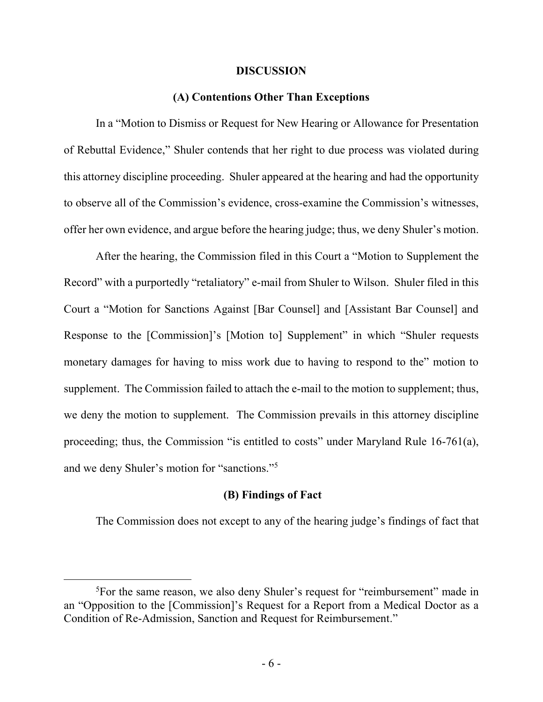#### **DISCUSSION**

### **(A) Contentions Other Than Exceptions**

In a "Motion to Dismiss or Request for New Hearing or Allowance for Presentation of Rebuttal Evidence," Shuler contends that her right to due process was violated during this attorney discipline proceeding. Shuler appeared at the hearing and had the opportunity to observe all of the Commission's evidence, cross-examine the Commission's witnesses, offer her own evidence, and argue before the hearing judge; thus, we deny Shuler's motion.

 After the hearing, the Commission filed in this Court a "Motion to Supplement the Record" with a purportedly "retaliatory" e-mail from Shuler to Wilson. Shuler filed in this Court a "Motion for Sanctions Against [Bar Counsel] and [Assistant Bar Counsel] and Response to the [Commission]'s [Motion to] Supplement" in which "Shuler requests monetary damages for having to miss work due to having to respond to the" motion to supplement. The Commission failed to attach the e-mail to the motion to supplement; thus, we deny the motion to supplement. The Commission prevails in this attorney discipline proceeding; thus, the Commission "is entitled to costs" under Maryland Rule 16-761(a), and we deny Shuler's motion for "sanctions."<sup>5</sup>

### **(B) Findings of Fact**

The Commission does not except to any of the hearing judge's findings of fact that

<sup>5</sup>For the same reason, we also deny Shuler's request for "reimbursement" made in an "Opposition to the [Commission]'s Request for a Report from a Medical Doctor as a Condition of Re-Admission, Sanction and Request for Reimbursement."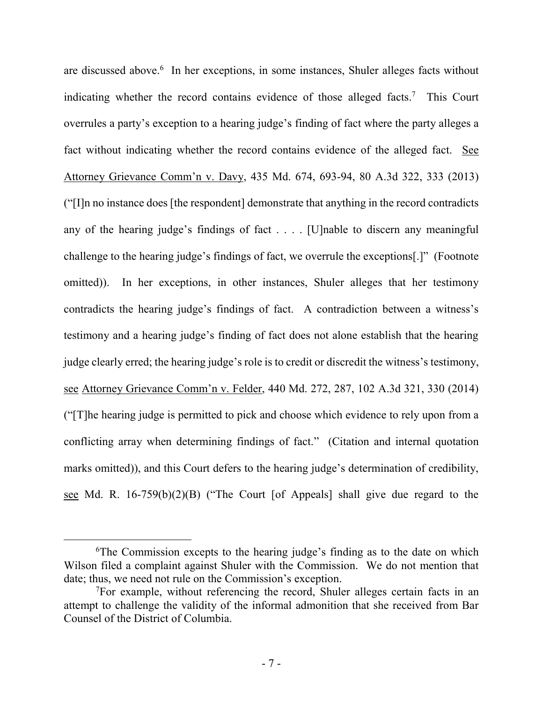are discussed above. 6 In her exceptions, in some instances, Shuler alleges facts without indicating whether the record contains evidence of those alleged facts.<sup>7</sup> This Court overrules a party's exception to a hearing judge's finding of fact where the party alleges a fact without indicating whether the record contains evidence of the alleged fact. See Attorney Grievance Comm'n v. Davy, 435 Md. 674, 693-94, 80 A.3d 322, 333 (2013) ("[I]n no instance does [the respondent] demonstrate that anything in the record contradicts any of the hearing judge's findings of fact . . . . [U]nable to discern any meaningful challenge to the hearing judge's findings of fact, we overrule the exceptions[.]" (Footnote omitted)). In her exceptions, in other instances, Shuler alleges that her testimony contradicts the hearing judge's findings of fact. A contradiction between a witness's testimony and a hearing judge's finding of fact does not alone establish that the hearing judge clearly erred; the hearing judge's role is to credit or discredit the witness's testimony, see Attorney Grievance Comm'n v. Felder, 440 Md. 272, 287, 102 A.3d 321, 330 (2014) ("[T]he hearing judge is permitted to pick and choose which evidence to rely upon from a conflicting array when determining findings of fact." (Citation and internal quotation marks omitted)), and this Court defers to the hearing judge's determination of credibility, see Md. R. 16-759(b)(2)(B) ("The Court [of Appeals] shall give due regard to the

<sup>&</sup>lt;sup>6</sup>The Commission excepts to the hearing judge's finding as to the date on which Wilson filed a complaint against Shuler with the Commission. We do not mention that date; thus, we need not rule on the Commission's exception.

<sup>&</sup>lt;sup>7</sup>For example, without referencing the record, Shuler alleges certain facts in an attempt to challenge the validity of the informal admonition that she received from Bar Counsel of the District of Columbia.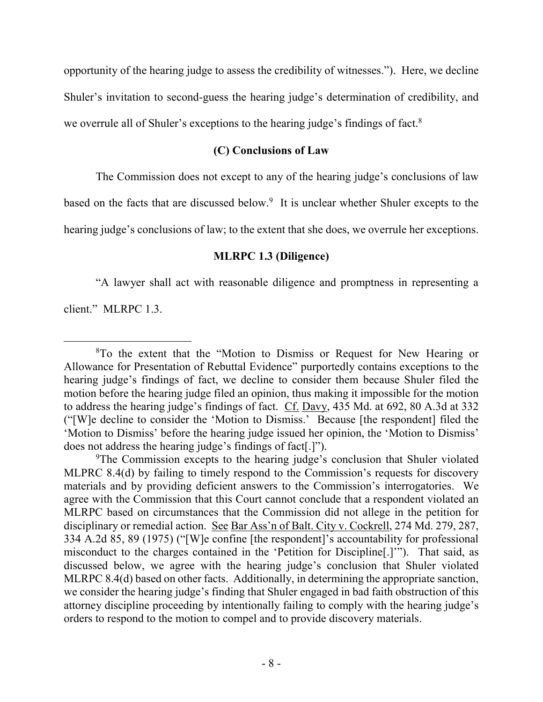opportunity of the hearing judge to assess the credibility of witnesses."). Here, we decline Shuler's invitation to second-guess the hearing judge's determination of credibility, and we overrule all of Shuler's exceptions to the hearing judge's findings of fact.<sup>8</sup>

# **(C) Conclusions of Law**

The Commission does not except to any of the hearing judge's conclusions of law

based on the facts that are discussed below.<sup>9</sup> It is unclear whether Shuler excepts to the

hearing judge's conclusions of law; to the extent that she does, we overrule her exceptions.

# **MLRPC 1.3 (Diligence)**

"A lawyer shall act with reasonable diligence and promptness in representing a

client." MLRPC 1.3.

<sup>8</sup>To the extent that the "Motion to Dismiss or Request for New Hearing or Allowance for Presentation of Rebuttal Evidence" purportedly contains exceptions to the hearing judge's findings of fact, we decline to consider them because Shuler filed the motion before the hearing judge filed an opinion, thus making it impossible for the motion to address the hearing judge's findings of fact. Cf. Davy, 435 Md. at 692, 80 A.3d at 332 ("[W]e decline to consider the 'Motion to Dismiss.' Because [the respondent] filed the 'Motion to Dismiss' before the hearing judge issued her opinion, the 'Motion to Dismiss' does not address the hearing judge's findings of fact[.]").

<sup>9</sup>The Commission excepts to the hearing judge's conclusion that Shuler violated MLPRC 8.4(d) by failing to timely respond to the Commission's requests for discovery materials and by providing deficient answers to the Commission's interrogatories. We agree with the Commission that this Court cannot conclude that a respondent violated an MLRPC based on circumstances that the Commission did not allege in the petition for disciplinary or remedial action. See Bar Ass'n of Balt. City v. Cockrell, 274 Md. 279, 287, 334 A.2d 85, 89 (1975) ("[W]e confine [the respondent]'s accountability for professional misconduct to the charges contained in the 'Petition for Discipline[.]'"). That said, as discussed below, we agree with the hearing judge's conclusion that Shuler violated MLRPC 8.4(d) based on other facts. Additionally, in determining the appropriate sanction, we consider the hearing judge's finding that Shuler engaged in bad faith obstruction of this attorney discipline proceeding by intentionally failing to comply with the hearing judge's orders to respond to the motion to compel and to provide discovery materials.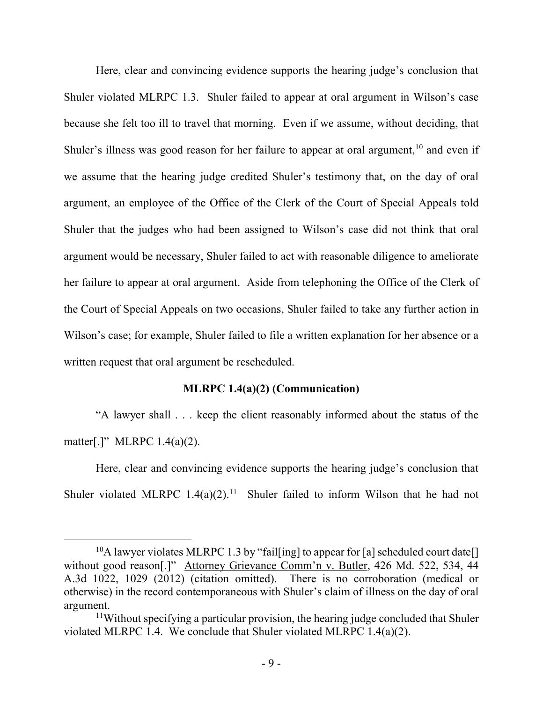Here, clear and convincing evidence supports the hearing judge's conclusion that Shuler violated MLRPC 1.3. Shuler failed to appear at oral argument in Wilson's case because she felt too ill to travel that morning. Even if we assume, without deciding, that Shuler's illness was good reason for her failure to appear at oral argument,<sup>10</sup> and even if we assume that the hearing judge credited Shuler's testimony that, on the day of oral argument, an employee of the Office of the Clerk of the Court of Special Appeals told Shuler that the judges who had been assigned to Wilson's case did not think that oral argument would be necessary, Shuler failed to act with reasonable diligence to ameliorate her failure to appear at oral argument. Aside from telephoning the Office of the Clerk of the Court of Special Appeals on two occasions, Shuler failed to take any further action in Wilson's case; for example, Shuler failed to file a written explanation for her absence or a written request that oral argument be rescheduled.

### **MLRPC 1.4(a)(2) (Communication)**

"A lawyer shall . . . keep the client reasonably informed about the status of the matter[.]" MLRPC 1.4(a)(2).

Here, clear and convincing evidence supports the hearing judge's conclusion that Shuler violated MLRPC  $1.4(a)(2)$ .<sup>11</sup> Shuler failed to inform Wilson that he had not

<sup>&</sup>lt;sup>10</sup>A lawyer violates MLRPC 1.3 by "fail[ing] to appear for [a] scheduled court date[] without good reason[.]" Attorney Grievance Comm'n v. Butler, 426 Md. 522, 534, 44 A.3d 1022, 1029 (2012) (citation omitted). There is no corroboration (medical or otherwise) in the record contemporaneous with Shuler's claim of illness on the day of oral argument.

<sup>&</sup>lt;sup>11</sup>Without specifying a particular provision, the hearing judge concluded that Shuler violated MLRPC 1.4. We conclude that Shuler violated MLRPC 1.4(a)(2).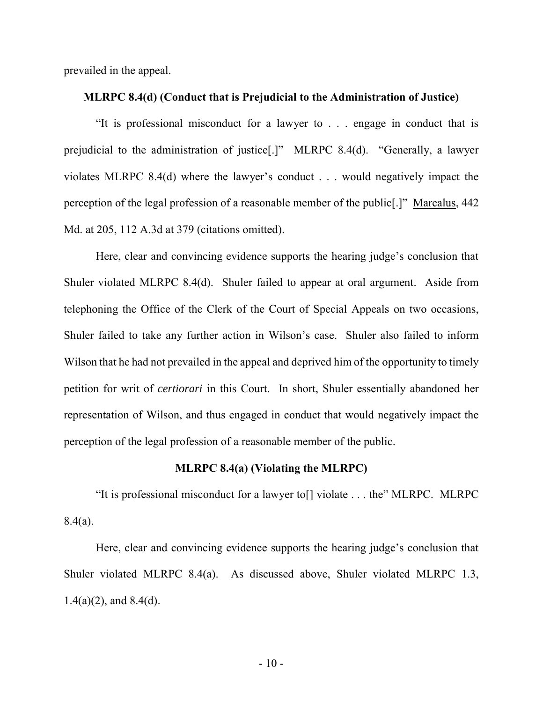prevailed in the appeal.

#### **MLRPC 8.4(d) (Conduct that is Prejudicial to the Administration of Justice)**

"It is professional misconduct for a lawyer to . . . engage in conduct that is prejudicial to the administration of justice[.]" MLRPC 8.4(d). "Generally, a lawyer violates MLRPC 8.4(d) where the lawyer's conduct . . . would negatively impact the perception of the legal profession of a reasonable member of the public[.]" Marcalus, 442 Md. at 205, 112 A.3d at 379 (citations omitted).

Here, clear and convincing evidence supports the hearing judge's conclusion that Shuler violated MLRPC 8.4(d). Shuler failed to appear at oral argument. Aside from telephoning the Office of the Clerk of the Court of Special Appeals on two occasions, Shuler failed to take any further action in Wilson's case. Shuler also failed to inform Wilson that he had not prevailed in the appeal and deprived him of the opportunity to timely petition for writ of *certiorari* in this Court. In short, Shuler essentially abandoned her representation of Wilson, and thus engaged in conduct that would negatively impact the perception of the legal profession of a reasonable member of the public.

### **MLRPC 8.4(a) (Violating the MLRPC)**

"It is professional misconduct for a lawyer to[] violate . . . the" MLRPC. MLRPC 8.4(a).

Here, clear and convincing evidence supports the hearing judge's conclusion that Shuler violated MLRPC 8.4(a). As discussed above, Shuler violated MLRPC 1.3,  $1.4(a)(2)$ , and  $8.4(d)$ .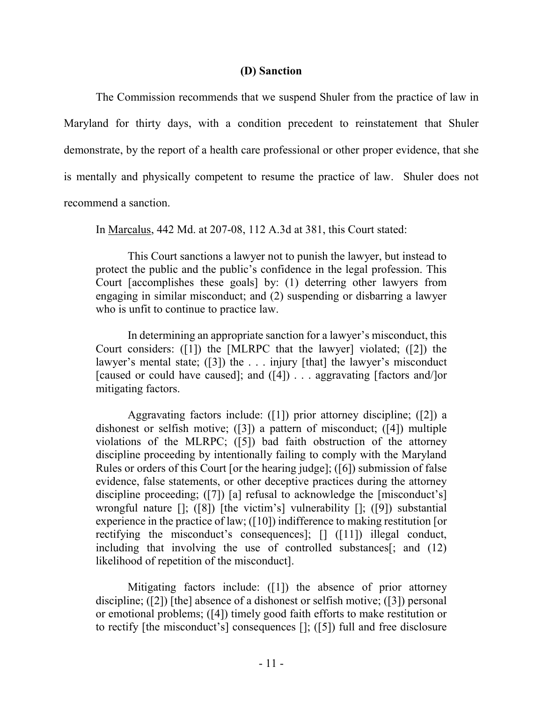### **(D) Sanction**

 The Commission recommends that we suspend Shuler from the practice of law in Maryland for thirty days, with a condition precedent to reinstatement that Shuler demonstrate, by the report of a health care professional or other proper evidence, that she is mentally and physically competent to resume the practice of law. Shuler does not recommend a sanction.

In Marcalus, 442 Md. at 207-08, 112 A.3d at 381, this Court stated:

This Court sanctions a lawyer not to punish the lawyer, but instead to protect the public and the public's confidence in the legal profession. This Court [accomplishes these goals] by: (1) deterring other lawyers from engaging in similar misconduct; and (2) suspending or disbarring a lawyer who is unfit to continue to practice law.

In determining an appropriate sanction for a lawyer's misconduct, this Court considers: ([1]) the [MLRPC that the lawyer] violated; ([2]) the lawyer's mental state; ([3]) the ... injury [that] the lawyer's misconduct [caused or could have caused]; and ([4]) . . . aggravating [factors and/]or mitigating factors.

Aggravating factors include: ([1]) prior attorney discipline; ([2]) a dishonest or selfish motive; ([3]) a pattern of misconduct; ([4]) multiple violations of the MLRPC; ([5]) bad faith obstruction of the attorney discipline proceeding by intentionally failing to comply with the Maryland Rules or orders of this Court [or the hearing judge]; ([6]) submission of false evidence, false statements, or other deceptive practices during the attorney discipline proceeding; ([7]) [a] refusal to acknowledge the [misconduct's] wrongful nature []; ([8]) [the victim's] vulnerability []; ([9]) substantial experience in the practice of law; ([10]) indifference to making restitution [or rectifying the misconduct's consequences]; [] ([11]) illegal conduct, including that involving the use of controlled substances $\left[\right]$ ; and (12) likelihood of repetition of the misconduct].

Mitigating factors include: ([1]) the absence of prior attorney discipline; ([2]) [the] absence of a dishonest or selfish motive; ([3]) personal or emotional problems; ([4]) timely good faith efforts to make restitution or to rectify [the misconduct's] consequences []; ([5]) full and free disclosure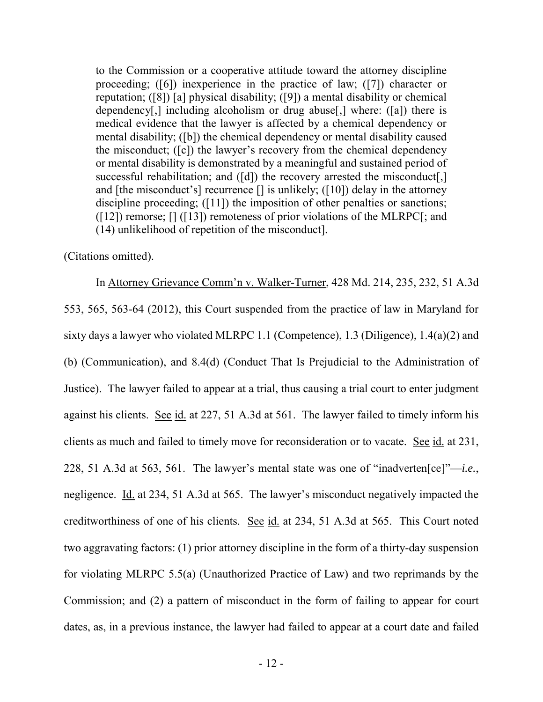to the Commission or a cooperative attitude toward the attorney discipline proceeding; ([6]) inexperience in the practice of law; ([7]) character or reputation; ([8]) [a] physical disability; ([9]) a mental disability or chemical dependency[,] including alcoholism or drug abuse[,] where: ([a]) there is medical evidence that the lawyer is affected by a chemical dependency or mental disability; ([b]) the chemical dependency or mental disability caused the misconduct; ([c]) the lawyer's recovery from the chemical dependency or mental disability is demonstrated by a meaningful and sustained period of successful rehabilitation; and ([d]) the recovery arrested the misconduct[,] and [the misconduct's] recurrence  $\lceil \cdot \rceil$  is unlikely; ([10]) delay in the attorney discipline proceeding; ([11]) the imposition of other penalties or sanctions;  $(12)$  remorse;  $[] (13]$  remoteness of prior violations of the MLRPC $[$ ; and (14) unlikelihood of repetition of the misconduct].

(Citations omitted).

In Attorney Grievance Comm'n v. Walker-Turner, 428 Md. 214, 235, 232, 51 A.3d 553, 565, 563-64 (2012), this Court suspended from the practice of law in Maryland for sixty days a lawyer who violated MLRPC 1.1 (Competence), 1.3 (Diligence), 1.4(a)(2) and (b) (Communication), and 8.4(d) (Conduct That Is Prejudicial to the Administration of Justice). The lawyer failed to appear at a trial, thus causing a trial court to enter judgment against his clients. See id. at 227, 51 A.3d at 561. The lawyer failed to timely inform his clients as much and failed to timely move for reconsideration or to vacate. See id. at 231, 228, 51 A.3d at 563, 561. The lawyer's mental state was one of "inadverten[ce]"—*i.e.*, negligence. Id. at 234, 51 A.3d at 565. The lawyer's misconduct negatively impacted the creditworthiness of one of his clients. See id. at 234, 51 A.3d at 565. This Court noted two aggravating factors: (1) prior attorney discipline in the form of a thirty-day suspension for violating MLRPC 5.5(a) (Unauthorized Practice of Law) and two reprimands by the Commission; and (2) a pattern of misconduct in the form of failing to appear for court dates, as, in a previous instance, the lawyer had failed to appear at a court date and failed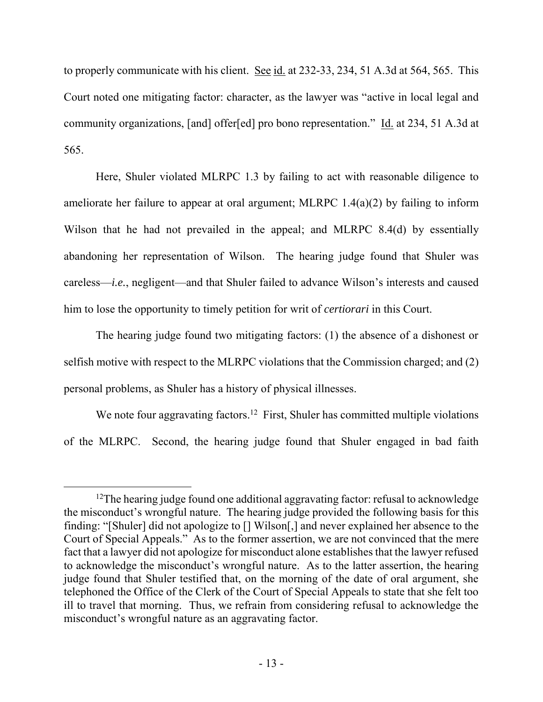to properly communicate with his client. See id. at 232-33, 234, 51 A.3d at 564, 565. This Court noted one mitigating factor: character, as the lawyer was "active in local legal and community organizations, [and] offer[ed] pro bono representation." Id. at 234, 51 A.3d at 565.

Here, Shuler violated MLRPC 1.3 by failing to act with reasonable diligence to ameliorate her failure to appear at oral argument; MLRPC 1.4(a)(2) by failing to inform Wilson that he had not prevailed in the appeal; and MLRPC 8.4(d) by essentially abandoning her representation of Wilson. The hearing judge found that Shuler was careless—*i.e.*, negligent—and that Shuler failed to advance Wilson's interests and caused him to lose the opportunity to timely petition for writ of *certiorari* in this Court.

The hearing judge found two mitigating factors: (1) the absence of a dishonest or selfish motive with respect to the MLRPC violations that the Commission charged; and (2) personal problems, as Shuler has a history of physical illnesses.

We note four aggravating factors.<sup>12</sup> First, Shuler has committed multiple violations of the MLRPC. Second, the hearing judge found that Shuler engaged in bad faith

<sup>&</sup>lt;sup>12</sup>The hearing judge found one additional aggravating factor: refusal to acknowledge the misconduct's wrongful nature. The hearing judge provided the following basis for this finding: "[Shuler] did not apologize to [] Wilson[,] and never explained her absence to the Court of Special Appeals." As to the former assertion, we are not convinced that the mere fact that a lawyer did not apologize for misconduct alone establishes that the lawyer refused to acknowledge the misconduct's wrongful nature. As to the latter assertion, the hearing judge found that Shuler testified that, on the morning of the date of oral argument, she telephoned the Office of the Clerk of the Court of Special Appeals to state that she felt too ill to travel that morning. Thus, we refrain from considering refusal to acknowledge the misconduct's wrongful nature as an aggravating factor.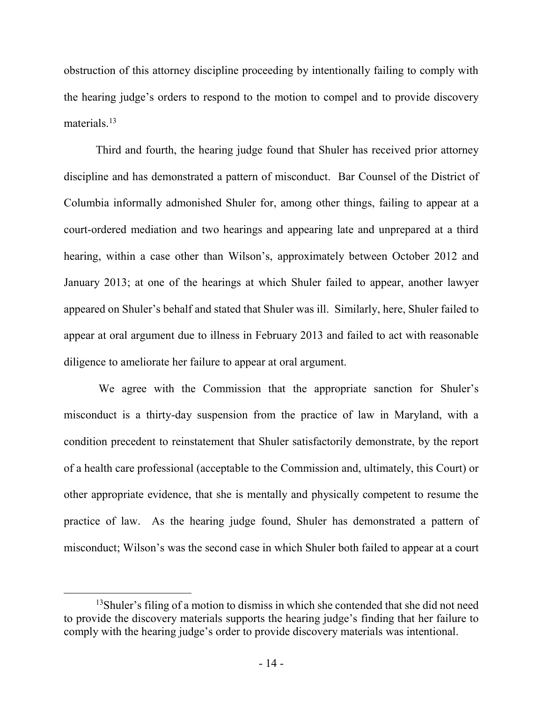obstruction of this attorney discipline proceeding by intentionally failing to comply with the hearing judge's orders to respond to the motion to compel and to provide discovery materials $13$ 

Third and fourth, the hearing judge found that Shuler has received prior attorney discipline and has demonstrated a pattern of misconduct. Bar Counsel of the District of Columbia informally admonished Shuler for, among other things, failing to appear at a court-ordered mediation and two hearings and appearing late and unprepared at a third hearing, within a case other than Wilson's, approximately between October 2012 and January 2013; at one of the hearings at which Shuler failed to appear, another lawyer appeared on Shuler's behalf and stated that Shuler was ill. Similarly, here, Shuler failed to appear at oral argument due to illness in February 2013 and failed to act with reasonable diligence to ameliorate her failure to appear at oral argument.

 We agree with the Commission that the appropriate sanction for Shuler's misconduct is a thirty-day suspension from the practice of law in Maryland, with a condition precedent to reinstatement that Shuler satisfactorily demonstrate, by the report of a health care professional (acceptable to the Commission and, ultimately, this Court) or other appropriate evidence, that she is mentally and physically competent to resume the practice of law. As the hearing judge found, Shuler has demonstrated a pattern of misconduct; Wilson's was the second case in which Shuler both failed to appear at a court

<sup>13</sup>Shuler's filing of a motion to dismiss in which she contended that she did not need to provide the discovery materials supports the hearing judge's finding that her failure to comply with the hearing judge's order to provide discovery materials was intentional.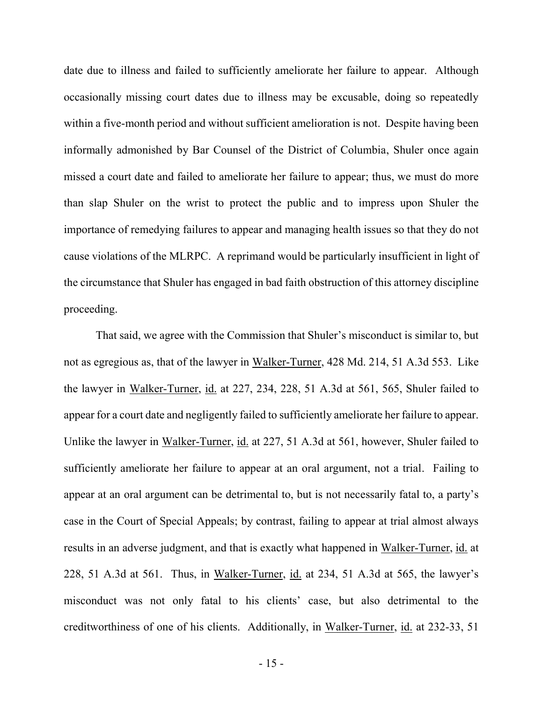date due to illness and failed to sufficiently ameliorate her failure to appear. Although occasionally missing court dates due to illness may be excusable, doing so repeatedly within a five-month period and without sufficient amelioration is not. Despite having been informally admonished by Bar Counsel of the District of Columbia, Shuler once again missed a court date and failed to ameliorate her failure to appear; thus, we must do more than slap Shuler on the wrist to protect the public and to impress upon Shuler the importance of remedying failures to appear and managing health issues so that they do not cause violations of the MLRPC. A reprimand would be particularly insufficient in light of the circumstance that Shuler has engaged in bad faith obstruction of this attorney discipline proceeding.

 That said, we agree with the Commission that Shuler's misconduct is similar to, but not as egregious as, that of the lawyer in Walker-Turner, 428 Md. 214, 51 A.3d 553. Like the lawyer in Walker-Turner, id. at 227, 234, 228, 51 A.3d at 561, 565, Shuler failed to appear for a court date and negligently failed to sufficiently ameliorate her failure to appear. Unlike the lawyer in Walker-Turner, id. at 227, 51 A.3d at 561, however, Shuler failed to sufficiently ameliorate her failure to appear at an oral argument, not a trial. Failing to appear at an oral argument can be detrimental to, but is not necessarily fatal to, a party's case in the Court of Special Appeals; by contrast, failing to appear at trial almost always results in an adverse judgment, and that is exactly what happened in Walker-Turner, id. at 228, 51 A.3d at 561. Thus, in Walker-Turner, id. at 234, 51 A.3d at 565, the lawyer's misconduct was not only fatal to his clients' case, but also detrimental to the creditworthiness of one of his clients. Additionally, in Walker-Turner, id. at 232-33, 51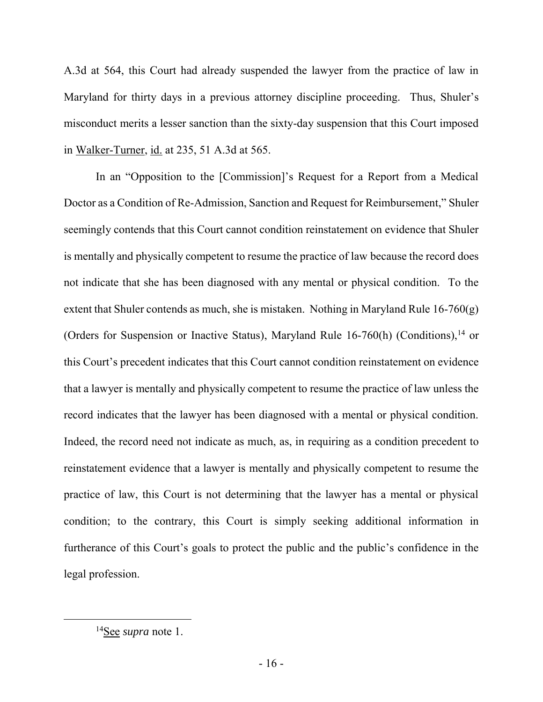A.3d at 564, this Court had already suspended the lawyer from the practice of law in Maryland for thirty days in a previous attorney discipline proceeding. Thus, Shuler's misconduct merits a lesser sanction than the sixty-day suspension that this Court imposed in Walker-Turner, id. at 235, 51 A.3d at 565.

In an "Opposition to the [Commission]'s Request for a Report from a Medical Doctor as a Condition of Re-Admission, Sanction and Request for Reimbursement," Shuler seemingly contends that this Court cannot condition reinstatement on evidence that Shuler is mentally and physically competent to resume the practice of law because the record does not indicate that she has been diagnosed with any mental or physical condition. To the extent that Shuler contends as much, she is mistaken. Nothing in Maryland Rule  $16-760(g)$ (Orders for Suspension or Inactive Status), Maryland Rule  $16-760(h)$  (Conditions),<sup>14</sup> or this Court's precedent indicates that this Court cannot condition reinstatement on evidence that a lawyer is mentally and physically competent to resume the practice of law unless the record indicates that the lawyer has been diagnosed with a mental or physical condition. Indeed, the record need not indicate as much, as, in requiring as a condition precedent to reinstatement evidence that a lawyer is mentally and physically competent to resume the practice of law, this Court is not determining that the lawyer has a mental or physical condition; to the contrary, this Court is simply seeking additional information in furtherance of this Court's goals to protect the public and the public's confidence in the legal profession.

<sup>14</sup>See *supra* note 1.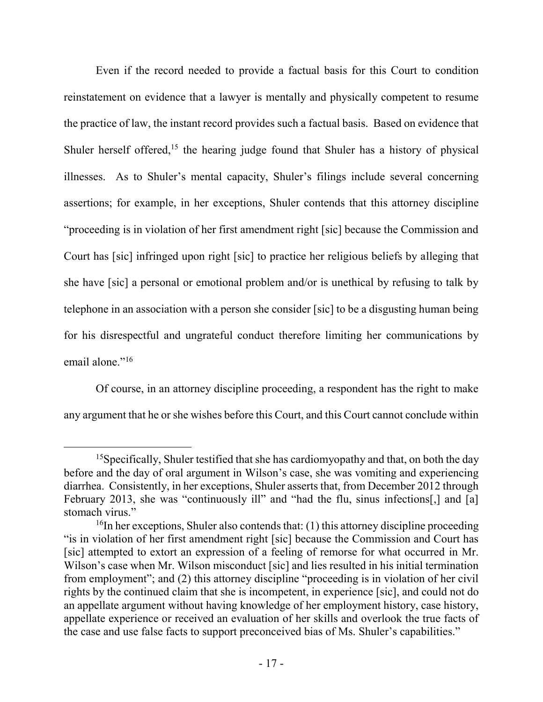Even if the record needed to provide a factual basis for this Court to condition reinstatement on evidence that a lawyer is mentally and physically competent to resume the practice of law, the instant record provides such a factual basis. Based on evidence that Shuler herself offered,<sup>15</sup> the hearing judge found that Shuler has a history of physical illnesses. As to Shuler's mental capacity, Shuler's filings include several concerning assertions; for example, in her exceptions, Shuler contends that this attorney discipline "proceeding is in violation of her first amendment right [sic] because the Commission and Court has [sic] infringed upon right [sic] to practice her religious beliefs by alleging that she have [sic] a personal or emotional problem and/or is unethical by refusing to talk by telephone in an association with a person she consider [sic] to be a disgusting human being for his disrespectful and ungrateful conduct therefore limiting her communications by email alone."<sup>16</sup>

Of course, in an attorney discipline proceeding, a respondent has the right to make any argument that he or she wishes before this Court, and this Court cannot conclude within

<sup>&</sup>lt;sup>15</sup>Specifically, Shuler testified that she has cardiomyopathy and that, on both the day before and the day of oral argument in Wilson's case, she was vomiting and experiencing diarrhea. Consistently, in her exceptions, Shuler asserts that, from December 2012 through February 2013, she was "continuously ill" and "had the flu, sinus infections[,] and [a] stomach virus."

 $16$ In her exceptions, Shuler also contends that: (1) this attorney discipline proceeding "is in violation of her first amendment right [sic] because the Commission and Court has [sic] attempted to extort an expression of a feeling of remorse for what occurred in Mr. Wilson's case when Mr. Wilson misconduct [sic] and lies resulted in his initial termination from employment"; and (2) this attorney discipline "proceeding is in violation of her civil rights by the continued claim that she is incompetent, in experience [sic], and could not do an appellate argument without having knowledge of her employment history, case history, appellate experience or received an evaluation of her skills and overlook the true facts of the case and use false facts to support preconceived bias of Ms. Shuler's capabilities."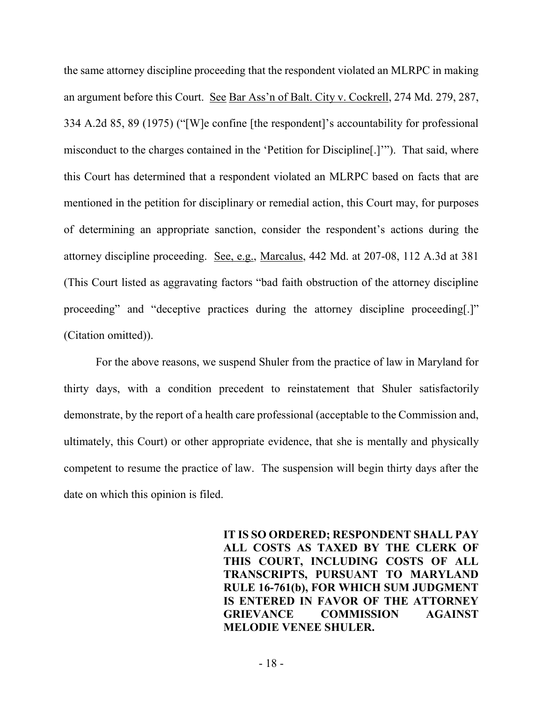the same attorney discipline proceeding that the respondent violated an MLRPC in making an argument before this Court. See Bar Ass'n of Balt. City v. Cockrell, 274 Md. 279, 287, 334 A.2d 85, 89 (1975) ("[W]e confine [the respondent]'s accountability for professional misconduct to the charges contained in the 'Petition for Discipline[.]'"). That said, where this Court has determined that a respondent violated an MLRPC based on facts that are mentioned in the petition for disciplinary or remedial action, this Court may, for purposes of determining an appropriate sanction, consider the respondent's actions during the attorney discipline proceeding. See, e.g., Marcalus, 442 Md. at 207-08, 112 A.3d at 381 (This Court listed as aggravating factors "bad faith obstruction of the attorney discipline proceeding" and "deceptive practices during the attorney discipline proceeding[.]" (Citation omitted)).

 For the above reasons, we suspend Shuler from the practice of law in Maryland for thirty days, with a condition precedent to reinstatement that Shuler satisfactorily demonstrate, by the report of a health care professional (acceptable to the Commission and, ultimately, this Court) or other appropriate evidence, that she is mentally and physically competent to resume the practice of law. The suspension will begin thirty days after the date on which this opinion is filed.

> **IT IS SO ORDERED; RESPONDENT SHALL PAY ALL COSTS AS TAXED BY THE CLERK OF THIS COURT, INCLUDING COSTS OF ALL TRANSCRIPTS, PURSUANT TO MARYLAND RULE 16-761(b), FOR WHICH SUM JUDGMENT IS ENTERED IN FAVOR OF THE ATTORNEY GRIEVANCE COMMISSION AGAINST MELODIE VENEE SHULER.**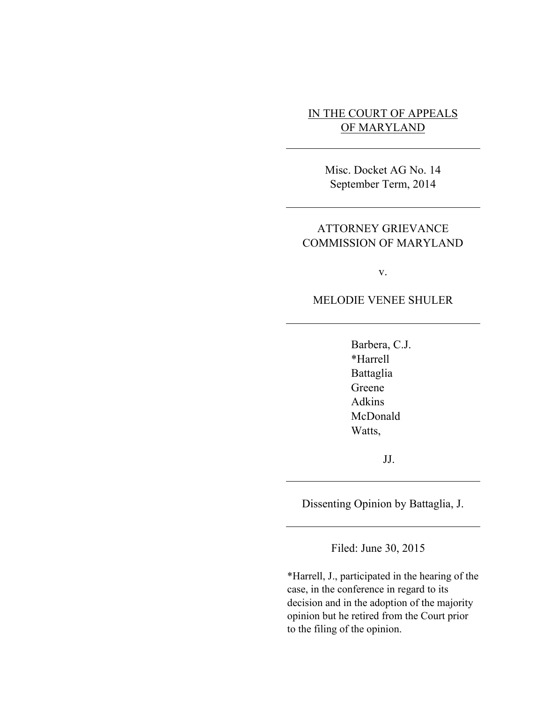# IN THE COURT OF APPEALS OF MARYLAND

Misc. Docket AG No. 14 September Term, 2014

# ATTORNEY GRIEVANCE COMMISSION OF MARYLAND

v.

MELODIE VENEE SHULER

Barbera, C.J. \*Harrell Battaglia Greene Adkins McDonald Watts,

JJ.

Dissenting Opinion by Battaglia, J.

Filed: June 30, 2015

\*Harrell, J., participated in the hearing of the case, in the conference in regard to its decision and in the adoption of the majority opinion but he retired from the Court prior to the filing of the opinion.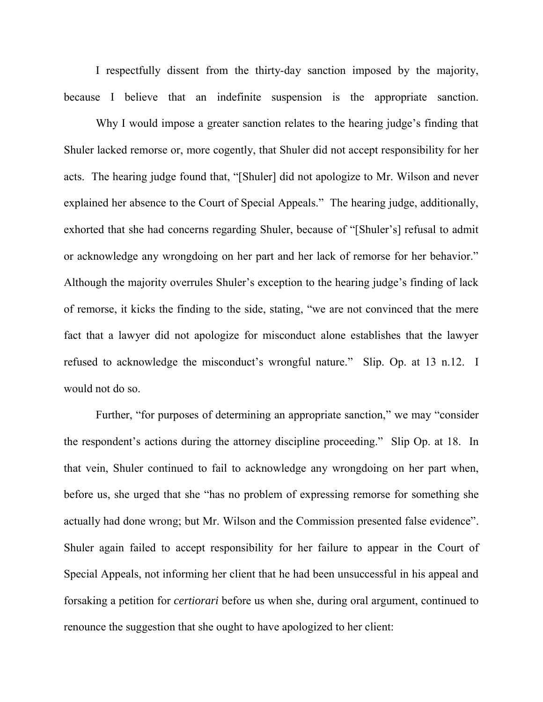I respectfully dissent from the thirty-day sanction imposed by the majority, because I believe that an indefinite suspension is the appropriate sanction.

Why I would impose a greater sanction relates to the hearing judge's finding that Shuler lacked remorse or, more cogently, that Shuler did not accept responsibility for her acts. The hearing judge found that, "[Shuler] did not apologize to Mr. Wilson and never explained her absence to the Court of Special Appeals." The hearing judge, additionally, exhorted that she had concerns regarding Shuler, because of "[Shuler's] refusal to admit or acknowledge any wrongdoing on her part and her lack of remorse for her behavior." Although the majority overrules Shuler's exception to the hearing judge's finding of lack of remorse, it kicks the finding to the side, stating, "we are not convinced that the mere fact that a lawyer did not apologize for misconduct alone establishes that the lawyer refused to acknowledge the misconduct's wrongful nature." Slip. Op. at 13 n.12. I would not do so.

Further, "for purposes of determining an appropriate sanction," we may "consider the respondent's actions during the attorney discipline proceeding." Slip Op. at 18. In that vein, Shuler continued to fail to acknowledge any wrongdoing on her part when, before us, she urged that she "has no problem of expressing remorse for something she actually had done wrong; but Mr. Wilson and the Commission presented false evidence". Shuler again failed to accept responsibility for her failure to appear in the Court of Special Appeals, not informing her client that he had been unsuccessful in his appeal and forsaking a petition for *certiorari* before us when she, during oral argument, continued to renounce the suggestion that she ought to have apologized to her client: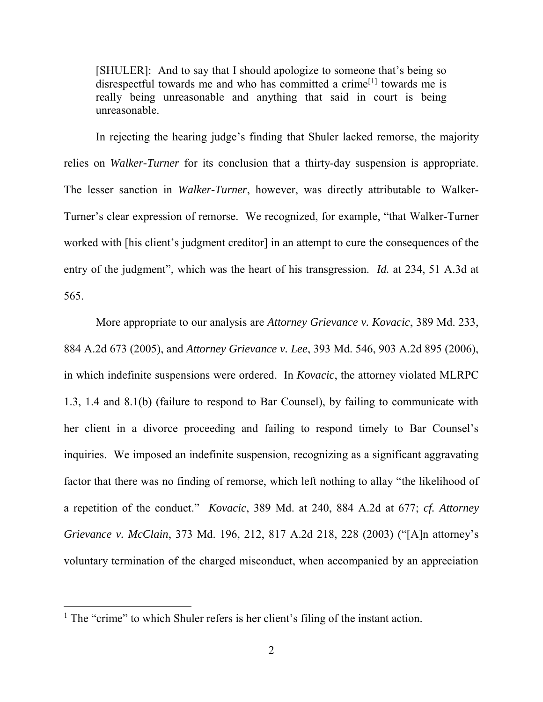[SHULER]: And to say that I should apologize to someone that's being so disrespectful towards me and who has committed a crime<sup>[1]</sup> towards me is really being unreasonable and anything that said in court is being unreasonable.

In rejecting the hearing judge's finding that Shuler lacked remorse, the majority relies on *Walker-Turner* for its conclusion that a thirty-day suspension is appropriate. The lesser sanction in *Walker-Turner*, however, was directly attributable to Walker-Turner's clear expression of remorse. We recognized, for example, "that Walker-Turner worked with [his client's judgment creditor] in an attempt to cure the consequences of the entry of the judgment", which was the heart of his transgression. *Id.* at 234, 51 A.3d at 565.

More appropriate to our analysis are *Attorney Grievance v. Kovacic*, 389 Md. 233, 884 A.2d 673 (2005), and *Attorney Grievance v. Lee*, 393 Md. 546, 903 A.2d 895 (2006), in which indefinite suspensions were ordered. In *Kovacic*, the attorney violated MLRPC 1.3, 1.4 and 8.1(b) (failure to respond to Bar Counsel), by failing to communicate with her client in a divorce proceeding and failing to respond timely to Bar Counsel's inquiries. We imposed an indefinite suspension, recognizing as a significant aggravating factor that there was no finding of remorse, which left nothing to allay "the likelihood of a repetition of the conduct." *Kovacic*, 389 Md. at 240, 884 A.2d at 677; *cf. Attorney Grievance v. McClain*, 373 Md. 196, 212, 817 A.2d 218, 228 (2003) ("[A]n attorney's voluntary termination of the charged misconduct, when accompanied by an appreciation

<sup>&</sup>lt;sup>1</sup> The "crime" to which Shuler refers is her client's filing of the instant action.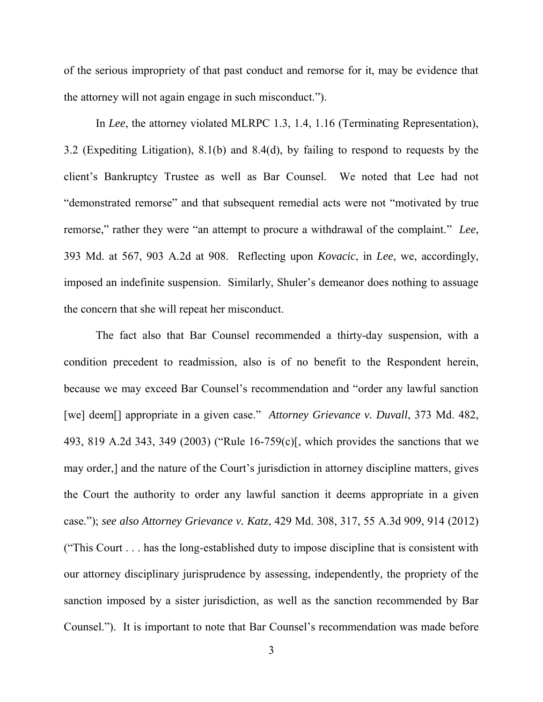of the serious impropriety of that past conduct and remorse for it, may be evidence that the attorney will not again engage in such misconduct.").

In *Lee*, the attorney violated MLRPC 1.3, 1.4, 1.16 (Terminating Representation), 3.2 (Expediting Litigation), 8.1(b) and 8.4(d), by failing to respond to requests by the client's Bankruptcy Trustee as well as Bar Counsel. We noted that Lee had not "demonstrated remorse" and that subsequent remedial acts were not "motivated by true remorse," rather they were "an attempt to procure a withdrawal of the complaint." *Lee*, 393 Md. at 567, 903 A.2d at 908. Reflecting upon *Kovacic*, in *Lee*, we, accordingly, imposed an indefinite suspension. Similarly, Shuler's demeanor does nothing to assuage the concern that she will repeat her misconduct.

The fact also that Bar Counsel recommended a thirty-day suspension, with a condition precedent to readmission, also is of no benefit to the Respondent herein, because we may exceed Bar Counsel's recommendation and "order any lawful sanction [we] deem[] appropriate in a given case." *Attorney Grievance v. Duvall*, 373 Md. 482, 493, 819 A.2d 343, 349 (2003) ("Rule 16-759(c)[, which provides the sanctions that we may order,] and the nature of the Court's jurisdiction in attorney discipline matters, gives the Court the authority to order any lawful sanction it deems appropriate in a given case."); *see also Attorney Grievance v. Katz*, 429 Md. 308, 317, 55 A.3d 909, 914 (2012) ("This Court . . . has the long-established duty to impose discipline that is consistent with our attorney disciplinary jurisprudence by assessing, independently, the propriety of the sanction imposed by a sister jurisdiction, as well as the sanction recommended by Bar Counsel."). It is important to note that Bar Counsel's recommendation was made before